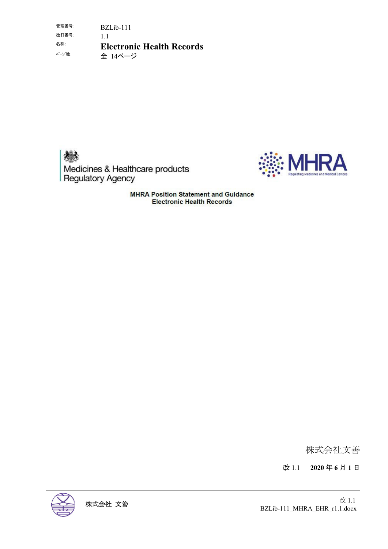管理番号: BZLib-111 改訂番号: 1.1 名称: **Electronic Health Records** 全 14ページ





**MHRA Position Statement and Guidance Electronic Health Records** 

株式会社文善

改 1.1 **2020** 年 **6** 月 **1** 日



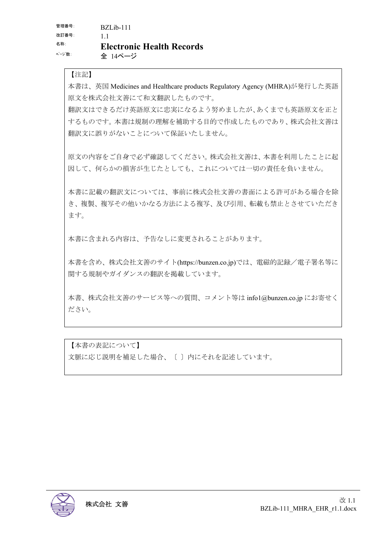【注記】

本書は、英国 Medicines and Healthcare products Regulatory Agency (MHRA)が発行した英語 原文を株式会社文善にて和文翻訳したものです。

翻訳文はできるだけ英語原文に忠実になるよう努めましたが、あくまでも英語原文を正と するものです。本書は規制の理解を補助する目的で作成したものであり、株式会社文善は 翻訳文に誤りがないことについて保証いたしません。

原文の内容をご自身で必ず確認してください。株式会社文善は、本書を利用したことに起 因して、何らかの損害が生じたとしても、これについては一切の責任を負いません。

本書に記載の翻訳文については、事前に株式会社文善の書面による許可がある場合を除 き、複製、複写その他いかなる方法による複写、及び引用、転載も禁止とさせていただき ます。

本書に含まれる内容は、予告なしに変更されることがあります。

本書を含め、株式会社文善のサイト(https://bunzen.co.jp)では、電磁的記録/電子署名等に 関する規制やガイダンスの翻訳を掲載しています。

本書、株式会社文善のサービス等への質問、コメント等は info1@bunzen.co.jp にお寄せく ださい。

【本書の表記について】 文脈に応じ説明を補足した場合、〔 〕内にそれを記述しています。

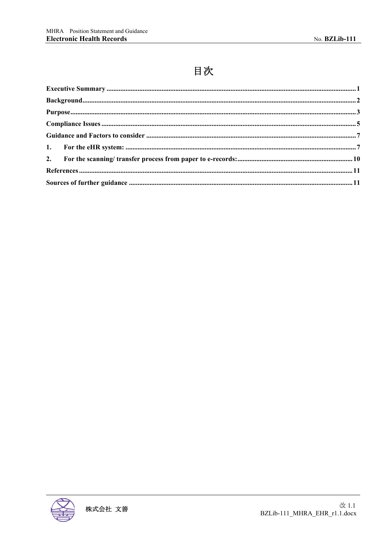# 目次

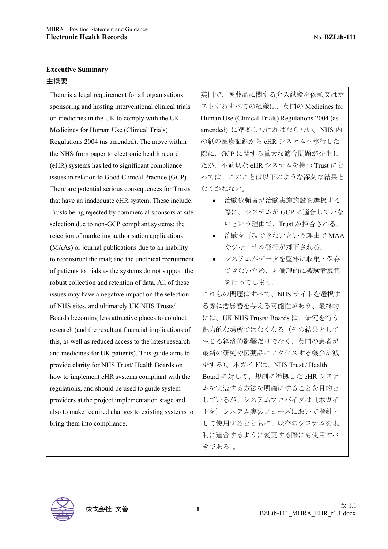## **Executive Summary**  主概要

There is a legal requirement for all organisations sponsoring and hosting interventional clinical trials on medicines in the UK to comply with the UK Medicines for Human Use (Clinical Trials) Regulations 2004 (as amended). The move within the NHS from paper to electronic health record (eHR) systems has led to significant compliance issues in relation to Good Clinical Practice (GCP). There are potential serious consequences for Trusts that have an inadequate eHR system. These include: Trusts being rejected by commercial sponsors at site selection due to non-GCP compliant systems; the rejection of marketing authorisation applications (MAAs) or journal publications due to an inability to reconstruct the trial; and the unethical recruitment of patients to trials as the systems do not support the robust collection and retention of data. All of these issues may have a negative impact on the selection of NHS sites, and ultimately UK NHS Trusts/ Boards becoming less attractive places to conduct research (and the resultant financial implications of this, as well as reduced access to the latest research and medicines for UK patients). This guide aims to provide clarity for NHS Trust/ Health Boards on how to implement eHR systems compliant with the regulations, and should be used to guide system providers at the project implementation stage and also to make required changes to existing systems to bring them into compliance.

英国で、医薬品に関する介入試験を依頼又はホ ストするすべての組織は、英国の Medicines for Human Use (Clinical Trials) Regulations 2004 (as amended) に準拠しなければならない。NHS 内 の紙の医療記録から eHR システムへ移行した 際に、GCP に関する重大な適合問題が発生し たが、不適切な eHR システムを持つ Trust にと っては、このことは以下のような深刻な結果と なりかねない。

- 治験依頼者が治験実施施設を選択する 際に、システムが GCP に適合していな いという理由で、Trust が拒否される。
- 治験を再現できないという理由で MAA やジャーナル発行が却下される。
- システムがデータを堅牢に収集・保存 できないため、非倫理的に被験者募集 を行ってしまう。

これらの問題はすべて、NHS サイトを選択す る際に悪影響を与える可能性があり、最終的 には、UK NHS Trusts/ Boards は、研究を行う 魅力的な場所ではなくなる(その結果として 生じる経済的影響だけでなく、英国の患者が 最新の研究や医薬品にアクセスする機会が減 少する)。本ガイドは、NHS Trust / Health Board に対して、規制に準拠した eHR システ ムを実装する方法を明確にすることを目的と しているが、システムプロバイダは〔本ガイ ドを〕システム実装フェーズにおいて指針と して使用するとともに、既存のシステムを規 制に適合するように変更する際にも使用すべ きである 。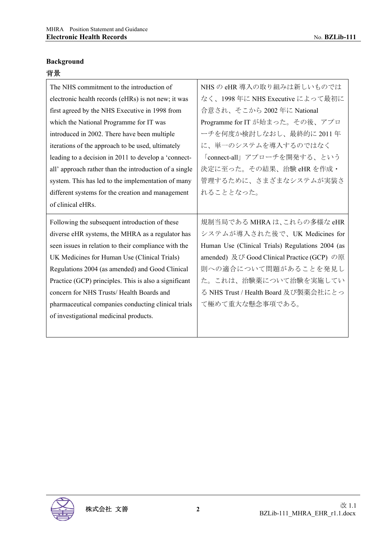#### **Background**

## 背景

| 旨贯                                                     |                                                  |
|--------------------------------------------------------|--------------------------------------------------|
| The NHS commitment to the introduction of              | NHS の eHR 導入の取り組みは新しいものでは                        |
| electronic health records (eHRs) is not new; it was    | なく、1998年に NHS Executive によって最初に                  |
| first agreed by the NHS Executive in 1998 from         | 合意され、そこから 2002 年に National                       |
| which the National Programme for IT was                | Programme for IT が始まった。その後、アプロ                   |
| introduced in 2002. There have been multiple           | ーチを何度か検討しなおし、最終的に2011年                           |
| iterations of the approach to be used, ultimately      | に、単一のシステムを導入するのではなく                              |
| leading to a decision in 2011 to develop a 'connect-   | 「connect-all」アプローチを開発する、という                      |
| all' approach rather than the introduction of a single | 決定に至った。その結果、治験 eHR を作成・                          |
| system. This has led to the implementation of many     | 管理するために、さまざまなシステムが実装さ                            |
| different systems for the creation and management      | れることとなった。                                        |
| of clinical eHRs.                                      |                                                  |
| Following the subsequent introduction of these         | 規制当局である MHRA は、これらの多様な eHR                       |
| diverse eHR systems, the MHRA as a regulator has       | システムが導入された後で、UK Medicines for                    |
| seen issues in relation to their compliance with the   | Human Use (Clinical Trials) Regulations 2004 (as |

amended) 及び Good Clinical Practice (GCP) の原 則への適合について問題があることを発見し た。これは、治験薬について治験を実施してい る NHS Trust / Health Board 及び製薬会社にとっ

て極めて重大な懸念事項である。

UK Medicines for Human Use (Clinical Trials) Regulations 2004 (as amended) and Good Clinical Practice (GCP) principles. This is also a significant

concern for NHS Trusts/ Health Boards and

of investigational medicinal products.

pharmaceutical companies conducting clinical trials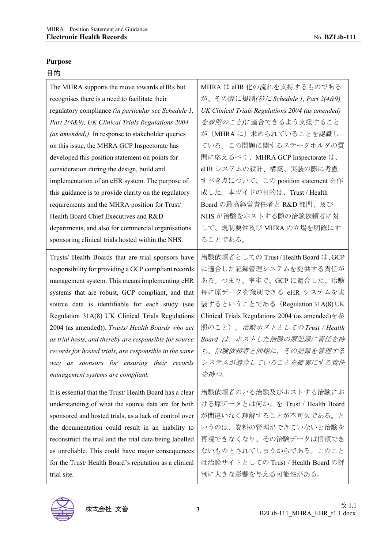# **Purpose**

# 目的

| The MHRA supports the move towards eHRs but             | MHRA は eHR 化の流れを支持するものである                        |
|---------------------------------------------------------|--------------------------------------------------|
| recognises there is a need to facilitate their          | が、その際に規制(特に Schedule 1, Part 2(4&9),             |
| regulatory compliance (in particular see Schedule 1,    | UK Clinical Trials Regulations 2004 (as amended) |
| Part 2(4&9), UK Clinical Trials Regulations 2004        | を参照のこと)に適合できるよう支援すること                            |
| (as amended)). In response to stakeholder queries       | が〔MHRAに〕求められていることを認識し                            |
| on this issue, the MHRA GCP Inspectorate has            | ている。この問題に関するステークホルダの質                            |
| developed this position statement on points for         | 問に応えるべく、MHRA GCP Inspectorate は、                 |
| consideration during the design, build and              | eHR システムの設計、構築、実装の際に考慮                           |
| implementation of an eHR system. The purpose of         | すべき点について、この position statement を作                |
| this guidance is to provide clarity on the regulatory   | 成した。本ガイドの目的は、Trust / Health                      |
| requirements and the MHRA position for Trust/           | Board の最高経営責任者と R&D 部門、及び                        |
| Health Board Chief Executives and R&D                   | NHS が治験をホストする際の治験依頼者に対                           |
| departments, and also for commercial organisations      | して、規制要件及び MHRA の立場を明確にす                          |
| sponsoring clinical trials hosted within the NHS.       | ることである。                                          |
| Trusts/ Health Boards that are trial sponsors have      | 治験依頼者としての Trust/Health Board は、GCP               |
| responsibility for providing a GCP compliant records    | に適合した記録管理システムを提供する責任が                            |
| management system. This means implementing eHR          | ある。つまり、堅牢で、GCP に適合した、治験                          |
| systems that are robust, GCP compliant, and that        | 毎に原データを識別できる eHR システムを実                          |
| source data is identifiable for each study (see         | 装するということである (Regulation 31A(8)UK                 |
| Regulation 31A(8) UK Clinical Trials Regulations        | Clinical Trials Regulations 2004 (as amended)を参  |
| 2004 (as amended)). Trusts/ Health Boards who act       | 照のこと)。 <i>治験ホストとしてのTrust / Health</i>            |
| as trial hosts, and thereby are responsible for source  | Board は、ホストした治験の原記録に責任を持                         |
| records for hosted trials, are responsible in the same  | ち、治験依頼者と同様に、その記録を管理する                            |
| way as sponsors for ensuring their records              | システムが適合していることを確実にする責任                            |
| management systems are compliant.                       | を持つ。                                             |
| It is essential that the Trust/Health Board has a clear | 治験依頼者のいる治験及びホストする治験にお                            |
| understanding of what the source data are for both      | ける原データとは何か、を Trust / Health Board                |
| sponsored and hosted trials, as a lack of control over  | が間違いなく理解することが不可欠である。と                            |
| the documentation could result in an inability to       | いうのは、資料の管理ができていないと治験を                            |
| reconstruct the trial and the trial data being labelled | 再現できなくなり、その治験データは信頼でき                            |
| as unreliable. This could have major consequences       | ないものとされてしまうからである。このこと                            |
| for the Trust/Health Board's reputation as a clinical   | は治験サイトとしての Trust / Health Board の評               |
| trial site.                                             | 判に大きな影響を与える可能性がある。                               |

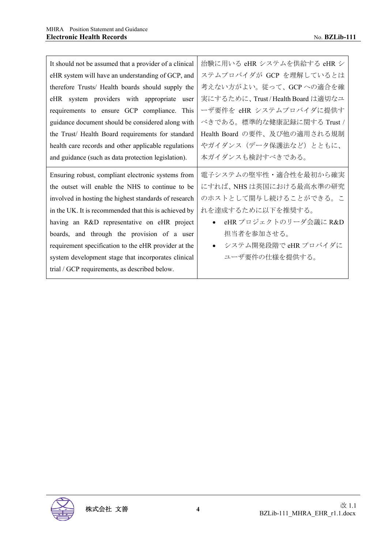| It should not be assumed that a provider of a clinical | 治験に用いる eHR システムを供給する eHR シ       |
|--------------------------------------------------------|----------------------------------|
| eHR system will have an understanding of GCP, and      | ステムプロバイダが GCP を理解しているとは          |
| therefore Trusts/ Health boards should supply the      | 考えない方がよい。従って、GCPへの適合を確           |
| eHR system providers with appropriate user             | 実にするために、Trust/Health Board は適切なユ |
| requirements to ensure GCP compliance. This            | ーザ要件を eHR システムプロバイダに提供す          |
| guidance document should be considered along with      | べきである。標準的な健康記録に関する Trust /       |
| the Trust/ Health Board requirements for standard      | Health Board の要件、及び他の適用される規制     |
| health care records and other applicable regulations   | やガイダンス(データ保護法など)とともに、            |
| and guidance (such as data protection legislation).    | 本ガイダンスも検討すべきである。                 |
|                                                        |                                  |
| Ensuring robust, compliant electronic systems from     | 電子システムの堅牢性・適合性を最初から確実            |
| the outset will enable the NHS to continue to be       | にすれば、NHSは英国における最高水準の研究           |
| involved in hosting the highest standards of research  | のホストとして関与し続けることができる。こ            |
| in the UK. It is recommended that this is achieved by  | れを達成するために以下を推奨する。                |
| having an R&D representative on eHR project            | eHR プロジェクトのリーダ会議に R&D            |
| boards, and through the provision of a user            | 担当者を参加させる。                       |
| requirement specification to the eHR provider at the   | システム開発段階で eHR プロバイダに             |
| system development stage that incorporates clinical    | ユーザ要件の仕様を提供する。                   |

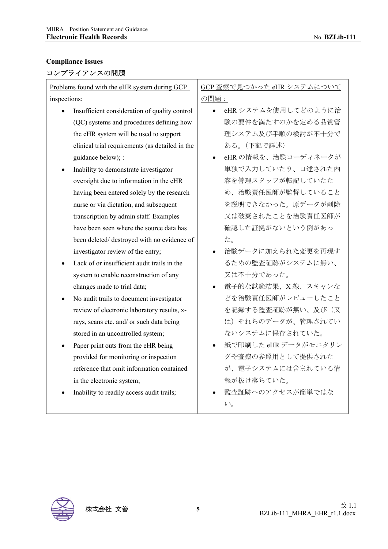# **Compliance Issues**

# コンプライアンスの問題

| Problems found with the eHR system during GCP   | GCP 査察で見つかった eHR システムについて      |
|-------------------------------------------------|--------------------------------|
| inspections:                                    | の問題:                           |
| Insufficient consideration of quality control   | eHRシステムを使用してどのように治             |
| (QC) systems and procedures defining how        | 験の要件を満たすのかを定める品質管              |
| the eHR system will be used to support          | 理システム及び手順の検討が不十分で              |
| clinical trial requirements (as detailed in the | ある。(下記で詳述)                     |
| guidance below); :                              | eHRの情報を、治験コーディネータが             |
| Inability to demonstrate investigator           | 単独で入力していたり、口述された内              |
| oversight due to information in the eHR         | 容を管理スタッフが転記していたた               |
| having been entered solely by the research      | め、治験責任医師が監督していること              |
| nurse or via dictation, and subsequent          | を説明できなかった。原データが削除              |
| transcription by admin staff. Examples          | 又は破棄されたことを治験責任医師が              |
| have been seen where the source data has        | 確認した証拠がないという例があっ               |
| been deleted/ destroyed with no evidence of     | た。                             |
| investigator review of the entry;               | 治験データに加えられた変更を再現す              |
| Lack of or insufficient audit trails in the     | るための監査証跡がシステムに無い、              |
| system to enable reconstruction of any          | 又は不十分であった。                     |
| changes made to trial data;                     | 電子的な試験結果、X線、スキャンな<br>$\bullet$ |
| No audit trails to document investigator        | どを治験責任医師がレビューしたこと              |
| review of electronic laboratory results, x-     | を記録する監査証跡が無い、及び(又              |
| rays, scans etc. and/ or such data being        | は)それらのデータが、管理されてい              |
| stored in an uncontrolled system;               | ないシステムに保存されていた。                |
| Paper print outs from the eHR being             | 紙で印刷した eHR データがモニタリン           |
| provided for monitoring or inspection           | グや査察の参照用として提供された               |
| reference that omit information contained       | が、電子システムには含まれている情              |
| in the electronic system;                       | 報が抜け落ちていた。                     |
| Inability to readily access audit trails;       | 監査証跡へのアクセスが簡単ではな               |
|                                                 | $V_{o}$                        |

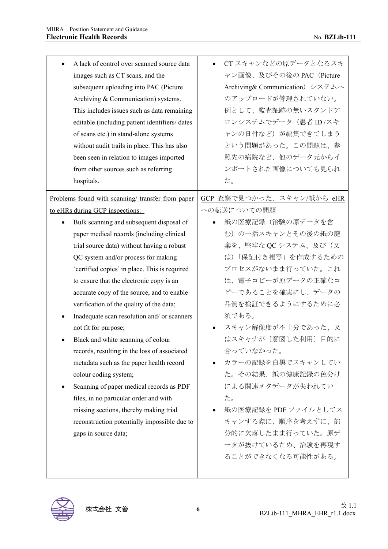| A lack of control over scanned source data<br>images such as CT scans, and the<br>subsequent uploading into PAC (Picture<br>Archiving & Communication) systems.<br>This includes issues such as data remaining<br>editable (including patient identifiers/ dates<br>of scans etc.) in stand-alone systems<br>without audit trails in place. This has also<br>been seen in relation to images imported<br>from other sources such as referring<br>hospitals. | CT スキャンなどの原データとなるスキ<br>ャン画像、及びその後の PAC (Picture<br>Archiving& Communication) システムへ<br>のアップロードが管理されていない。<br>例として、監査証跡の無いスタンドア<br>ロンシステムでデータ (患者 ID /スキ<br>ャンの日付など)が編集できてしまう<br>という問題があった。この問題は、参<br>照先の病院など、他のデータ元からイ<br>ンポートされた画像についても見られ<br>た。 |
|-------------------------------------------------------------------------------------------------------------------------------------------------------------------------------------------------------------------------------------------------------------------------------------------------------------------------------------------------------------------------------------------------------------------------------------------------------------|-------------------------------------------------------------------------------------------------------------------------------------------------------------------------------------------------------------------------------------------------|
| Problems found with scanning/ transfer from paper                                                                                                                                                                                                                                                                                                                                                                                                           | GCP 査察で見つかった、スキャン/紙から eHR                                                                                                                                                                                                                       |
| to eHRs during GCP inspections:                                                                                                                                                                                                                                                                                                                                                                                                                             | への転送についての問題                                                                                                                                                                                                                                     |
| Bulk scanning and subsequent disposal of                                                                                                                                                                                                                                                                                                                                                                                                                    | 紙の医療記録(治験の原データを含                                                                                                                                                                                                                                |
| paper medical records (including clinical                                                                                                                                                                                                                                                                                                                                                                                                                   | む)の一括スキャンとその後の紙の廃                                                                                                                                                                                                                               |
| trial source data) without having a robust                                                                                                                                                                                                                                                                                                                                                                                                                  | 棄を、堅牢な QC システム、及び(又                                                                                                                                                                                                                             |
| QC system and/or process for making                                                                                                                                                                                                                                                                                                                                                                                                                         | は)「保証付き複写」を作成するための                                                                                                                                                                                                                              |
| 'certified copies' in place. This is required                                                                                                                                                                                                                                                                                                                                                                                                               | プロセスがないまま行っていた。これ                                                                                                                                                                                                                               |
| to ensure that the electronic copy is an                                                                                                                                                                                                                                                                                                                                                                                                                    | は、電子コピーが原データの正確なコ                                                                                                                                                                                                                               |
| accurate copy of the source, and to enable                                                                                                                                                                                                                                                                                                                                                                                                                  | ピーであることを確実にし、データの                                                                                                                                                                                                                               |
| verification of the quality of the data;                                                                                                                                                                                                                                                                                                                                                                                                                    | 品質を検証できるようにするために必                                                                                                                                                                                                                               |
| Inadequate scan resolution and/ or scanners                                                                                                                                                                                                                                                                                                                                                                                                                 | 須である。                                                                                                                                                                                                                                           |
| not fit for purpose;                                                                                                                                                                                                                                                                                                                                                                                                                                        | スキャン解像度が不十分であった、又                                                                                                                                                                                                                               |
| Black and white scanning of colour                                                                                                                                                                                                                                                                                                                                                                                                                          | はスキャナが〔意図した利用〕目的に                                                                                                                                                                                                                               |
| records, resulting in the loss of associated                                                                                                                                                                                                                                                                                                                                                                                                                | 合っていなかった。                                                                                                                                                                                                                                       |
| metadata such as the paper health record                                                                                                                                                                                                                                                                                                                                                                                                                    | カラーの記録を白黒でスキャンしてい                                                                                                                                                                                                                               |
| colour coding system;                                                                                                                                                                                                                                                                                                                                                                                                                                       | た。その結果、紙の健康記録の色分け                                                                                                                                                                                                                               |
| Scanning of paper medical records as PDF                                                                                                                                                                                                                                                                                                                                                                                                                    | による関連メタデータが失われてい                                                                                                                                                                                                                                |
| files, in no particular order and with                                                                                                                                                                                                                                                                                                                                                                                                                      | た。                                                                                                                                                                                                                                              |
| missing sections, thereby making trial                                                                                                                                                                                                                                                                                                                                                                                                                      | 紙の医療記録を PDF ファイルとしてス                                                                                                                                                                                                                            |
| reconstruction potentially impossible due to                                                                                                                                                                                                                                                                                                                                                                                                                | キャンする際に、順序を考えずに、部                                                                                                                                                                                                                               |
| gaps in source data;                                                                                                                                                                                                                                                                                                                                                                                                                                        | 分的に欠落したまま行っていた。原デ                                                                                                                                                                                                                               |
|                                                                                                                                                                                                                                                                                                                                                                                                                                                             | ータが抜けているため、治験を再現す                                                                                                                                                                                                                               |
|                                                                                                                                                                                                                                                                                                                                                                                                                                                             | ることができなくなる可能性がある。                                                                                                                                                                                                                               |
|                                                                                                                                                                                                                                                                                                                                                                                                                                                             |                                                                                                                                                                                                                                                 |

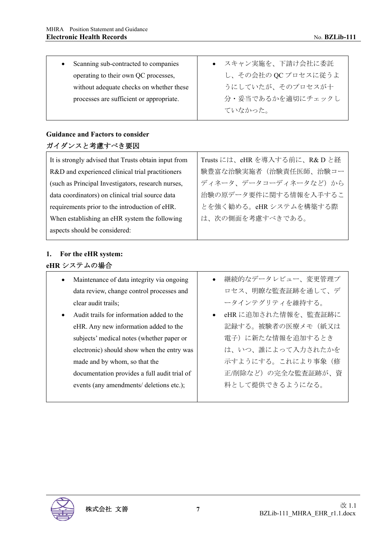| Scanning sub-contracted to companies     | ● スキャン実施を、下請け会社に委託  |
|------------------------------------------|---------------------|
| operating to their own QC processes,     | し、その会社の QC プロセスに従うよ |
| without adequate checks on whether these | うにしていたが、そのプロセスが十    |
| processes are sufficient or appropriate. | 分・妥当であるかを適切にチェックし   |
|                                          | ていなかった。             |

## **Guidance and Factors to consider**  ガイダンスと考慮すべき要因

| It is strongly advised that Trusts obtain input from | Trusts には、eHR を導入する前に、R&D と経 |
|------------------------------------------------------|------------------------------|
| R&D and experienced clinical trial practitioners     | 験豊富な治験実施者(治験責任医師、治験コー        |
| (such as Principal Investigators, research nurses,   | ディネータ、データコーディネータなど)から        |
| data coordinators) on clinical trial source data     | 治験の原データ要件に関する情報を入手するこ        |
| requirements prior to the introduction of eHR.       | とを強く勧める。eHRシステムを構築する際        |
| When establishing an eHR system the following        | は、次の側面を考慮すべきである。             |
| aspects should be considered:                        |                              |

# **1. For the eHR system: eHR** システムの場合

- Maintenance of data integrity via ongoing data review, change control processes and clear audit trails;
- Audit trails for information added to the eHR. Any new information added to the subjects' medical notes (whether paper or electronic) should show when the entry was made and by whom, so that the documentation provides a full audit trial of events (any amendments/ deletions etc.);
- 継続的なデータレビュー、変更管理プ ロセス、明瞭な監査証跡を通して、デ ータインテグリティを維持する。
- eHR に追加された情報を、監査証跡に 記録する。被験者の医療メモ(紙又は 電子)に新たな情報を追加するとき は、いつ、誰によって入力されたかを 示すようにする。これにより事象(修 正/削除など)の完全な監査証跡が、資 料として提供できるようになる。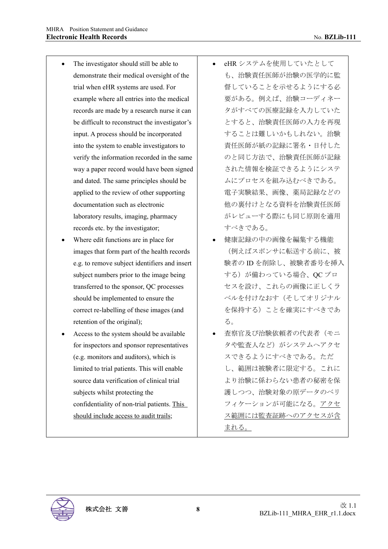- The investigator should still be able to demonstrate their medical oversight of the trial when eHR systems are used. For example where all entries into the medical records are made by a research nurse it can be difficult to reconstruct the investigator's input. A process should be incorporated into the system to enable investigators to verify the information recorded in the same way a paper record would have been signed and dated. The same principles should be applied to the review of other supporting documentation such as electronic laboratory results, imaging, pharmacy records etc. by the investigator;
- Where edit functions are in place for images that form part of the health records e.g. to remove subject identifiers and insert subject numbers prior to the image being transferred to the sponsor, QC processes should be implemented to ensure the correct re-labelling of these images (and retention of the original);
- Access to the system should be available for inspectors and sponsor representatives (e.g. monitors and auditors), which is limited to trial patients. This will enable source data verification of clinical trial subjects whilst protecting the confidentiality of non-trial patients. This should include access to audit trails;
- eHR システムを使用していたとして も、治験責任医師が治験の医学的に監 督していることを示せるようにする必 要がある。例えば、治験コーディネー タがすべての医療記録を入力していた とすると、治験責任医師の入力を再現 することは難しいかもしれない。治験 責任医師が紙の記録に署名・日付した のと同じ方法で、治験責任医師が記録 された情報を検証できるようにシステ ムにプロセスを組み込むべきである。 電子実験結果、画像、薬局記録などの 他の裏付けとなる資料を治験責任医師 がレビューする際にも同じ原則を適用 すべきである。
- 健康記録の中の画像を編集する機能 (例えばスポンサに転送する前に、被 験者の ID を削除し、被験者番号を挿入 する)が備わっている場合、QC プロ セスを設け、これらの画像に正しくラ ベルを付けなおす(そしてオリジナル を保持する)ことを確実にすべきであ る。
- 査察官及び治験依頼者の代表者(モニ タや監査人など)がシステムへアクセ スできるようにすべきである。ただ し、範囲は被験者に限定する。これに より治験に係わらない患者の秘密を保 護しつつ、治験対象の原データのベリ フィケーションが可能になる。アクセ ス範囲には監査証跡へのアクセスが含 まれる。

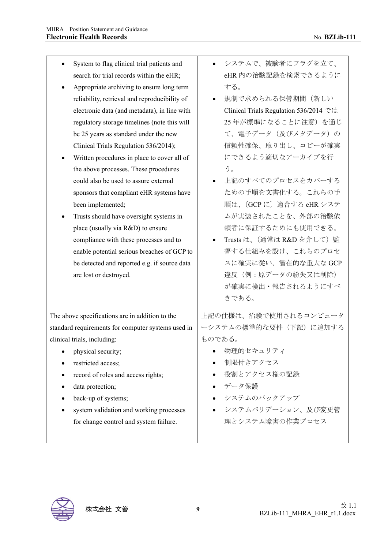| System to flag clinical trial patients and<br>search for trial records within the eHR;<br>Appropriate archiving to ensure long term<br>reliability, retrieval and reproducibility of<br>electronic data (and metadata), in line with<br>regulatory storage timelines (note this will<br>be 25 years as standard under the new<br>Clinical Trials Regulation 536/2014);<br>Written procedures in place to cover all of<br>the above processes. These procedures<br>could also be used to assure external<br>sponsors that compliant eHR systems have<br>been implemented;<br>Trusts should have oversight systems in<br>place (usually via R&D) to ensure | システムで、被験者にフラグを立て、<br>eHR内の治験記録を検索できるように<br>する。<br>規制で求められる保管期間(新しい<br>$\bullet$<br>Clinical Trials Regulation 536/2014 では<br>25年が標準になることに注意)を通じ<br>て、電子データ (及びメタデータ)の<br>信頼性確保、取り出し、コピーが確実<br>にできるよう適切なアーカイブを行<br>う。<br>上記のすべてのプロセスをカバーする<br>ための手順を文書化する。これらの手<br>順は、〔GCPに〕適合する eHR システ<br>ムが実装されたことを、外部の治験依<br>頼者に保証するためにも使用できる。 |
|----------------------------------------------------------------------------------------------------------------------------------------------------------------------------------------------------------------------------------------------------------------------------------------------------------------------------------------------------------------------------------------------------------------------------------------------------------------------------------------------------------------------------------------------------------------------------------------------------------------------------------------------------------|-----------------------------------------------------------------------------------------------------------------------------------------------------------------------------------------------------------------------------------------------------------------------------------------------------------------------------------|
| compliance with these processes and to<br>enable potential serious breaches of GCP to<br>be detected and reported e.g. if source data<br>are lost or destroyed.                                                                                                                                                                                                                                                                                                                                                                                                                                                                                          | Trusts は、(通常は R&D を介して) 監<br>督する仕組みを設け、これらのプロセ<br>スに確実に従い、潜在的な重大な GCP<br>違反(例:原データの紛失又は削除)<br>が確実に検出・報告されるようにすべ<br>きである。                                                                                                                                                                                                          |
| The above specifications are in addition to the<br>standard requirements for computer systems used in<br>clinical trials, including:<br>physical security;<br>restricted access;<br>record of roles and access rights;<br>data protection;<br>back-up of systems;<br>system validation and working processes<br>for change control and system failure.                                                                                                                                                                                                                                                                                                   | 上記の仕様は、治験で使用されるコンピュータ<br>ーシステムの標準的な要件(下記)に追加する<br>ものである。<br>物理的セキュリティ<br>制限付きアクセス<br>役割とアクセス権の記録<br>データ保護<br>システムのバックアップ<br>システムバリデーション、及び変更管<br>理とシステム障害の作業プロセス                                                                                                                                                                  |

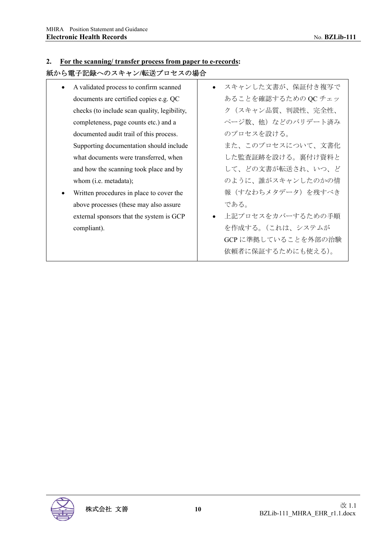#### **2. For the scanning/ transfer process from paper to e-records:**

## 紙から電子記録へのスキャン**/**転送プロセスの場合

- A validated process to confirm scanned documents are certified copies e.g. QC checks (to include scan quality, legibility, completeness, page counts etc.) and a documented audit trail of this process. Supporting documentation should include what documents were transferred, when and how the scanning took place and by whom (i.e. metadata);
- Written procedures in place to cover the above processes (these may also assure external sponsors that the system is GCP compliant).
- スキャンした文書が、保証付き複写で あることを確認するための QC チェッ ク(スキャン品質、判読性、完全性、 ページ数、他)などのバリデート済み のプロセスを設ける。 また、このプロセスについて、文書化 した監査証跡を設ける。裏付け資料と して、どの文書が転送され、いつ、ど のように、誰がスキャンしたのかの情 報(すなわちメタデータ)を残すべき である。
- 上記プロセスをカバーするための手順 を作成する。(これは、システムが GCP に準拠していることを外部の治験 依頼者に保証するためにも使える)。